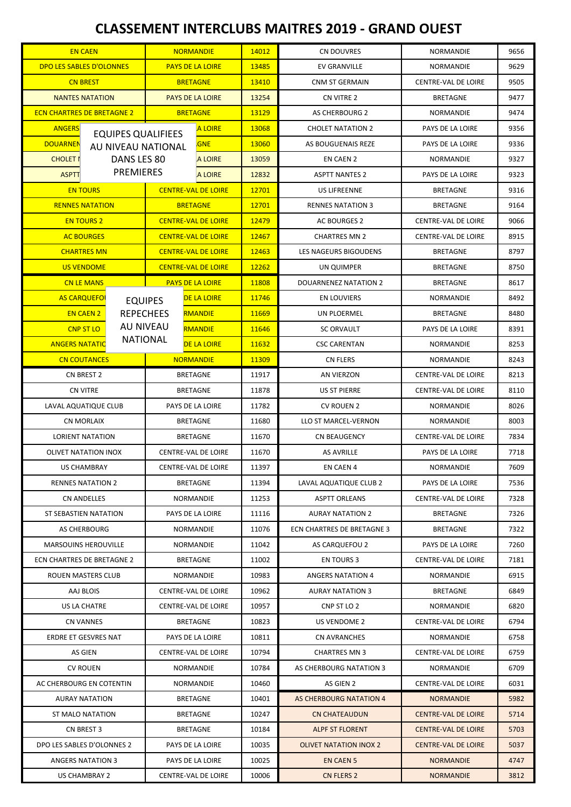## **CLASSEMENT INTERCLUBS MAITRES 2019 - GRAND OUEST**

| <b>EN CAEN</b>                        |                                             | <b>NORMANDIE</b>           |                    | 14012                    | CN DOUVRES                        | NORMANDIE                  | 9656 |
|---------------------------------------|---------------------------------------------|----------------------------|--------------------|--------------------------|-----------------------------------|----------------------------|------|
| DPO LES SABLES D'OLONNES              |                                             | <b>PAYS DE LA LOIRE</b>    |                    | 13485                    | <b>EV GRANVILLE</b>               | <b>NORMANDIE</b>           | 9629 |
| <b>CN BREST</b>                       |                                             | <b>BRETAGNE</b>            |                    | 13410                    | <b>CNM ST GERMAIN</b>             | CENTRE-VAL DE LOIRE        | 9505 |
| <b>NANTES NATATION</b>                |                                             | <b>PAYS DE LA LOIRE</b>    |                    | 13254                    | CN VITRE 2                        | <b>BRETAGNE</b>            | 9477 |
| <b>ECN CHARTRES DE BRETAGNE 2</b>     | <b>BRETAGNE</b>                             |                            | 13129              | <b>AS CHERBOURG 2</b>    | <b>NORMANDIE</b>                  | 9474                       |      |
| <b>ANGERS</b>                         | <b>A LOIRE</b><br><b>EQUIPES QUALIFIEES</b> |                            | 13068              | <b>CHOLET NATATION 2</b> | PAYS DE LA LOIRE                  | 9356                       |      |
| <b>DOUARNEN</b><br>AU NIVEAU NATIONAL |                                             | <b>GNE</b>                 |                    | 13060                    | AS BOUGUENAIS REZE                | PAYS DE LA LOIRE           | 9336 |
| <b>CHOLET I</b><br>DANS LES 80        |                                             | <b>A LOIRE</b>             |                    | 13059                    | <b>EN CAEN 2</b>                  | NORMANDIE                  | 9327 |
| <b>ASPTT</b>                          | <b>PREMIERES</b><br><b>A LOIRE</b>          |                            | 12832              | <b>ASPTT NANTES 2</b>    | PAYS DE LA LOIRE                  | 9323                       |      |
| <b>EN TOURS</b>                       |                                             | <b>CENTRE-VAL DE LOIRE</b> |                    | 12701                    | <b>US LIFREENNE</b>               | <b>BRETAGNE</b>            | 9316 |
| <b>RENNES NATATION</b>                |                                             | <b>BRETAGNE</b>            |                    | 12701                    | <b>RENNES NATATION 3</b>          | <b>BRETAGNE</b>            | 9164 |
| <b>EN TOURS 2</b>                     |                                             | <b>CENTRE-VAL DE LOIRE</b> |                    | 12479                    | AC BOURGES 2                      | CENTRE-VAL DE LOIRE        | 9066 |
| <b>AC BOURGES</b>                     |                                             | <b>CENTRE-VAL DE LOIRE</b> |                    | 12467                    | <b>CHARTRES MN 2</b>              | CENTRE-VAL DE LOIRE        | 8915 |
| <b>CHARTRES MN</b>                    |                                             | <b>CENTRE-VAL DE LOIRE</b> |                    | 12463                    | LES NAGEURS BIGOUDENS             | <b>BRETAGNE</b>            | 8797 |
| <b>US VENDOME</b>                     | <b>CENTRE-VAL DE LOIRE</b>                  |                            | 12262              | UN QUIMPER               | <b>BRETAGNE</b>                   | 8750                       |      |
| <b>CN LE MANS</b>                     |                                             | <b>PAYS DE LA LOIRE</b>    |                    | 11808                    | <b>DOUARNENEZ NATATION 2</b>      | <b>BRETAGNE</b>            | 8617 |
|                                       | <b>AS CARQUEFOI</b><br><b>EQUIPES</b>       |                            | <b>DE LA LOIRE</b> | 11746                    | <b>EN LOUVIERS</b>                | NORMANDIE                  | 8492 |
|                                       | <b>REPECHEES</b><br><b>EN CAEN 2</b>        |                            | <b>RMANDIE</b>     | 11669                    | UN PLOERMEL                       | <b>BRETAGNE</b>            | 8480 |
| <b>CNP ST LO</b>                      |                                             | <b>AU NIVEAU</b>           | <b>RMANDIE</b>     | 11646                    | <b>SC ORVAULT</b>                 | PAYS DE LA LOIRE           | 8391 |
| <b>ANGERS NATATIC</b>                 |                                             | <b>NATIONAL</b>            | <b>DE LA LOIRE</b> | 11632                    | <b>CSC CARENTAN</b>               | <b>NORMANDIE</b>           | 8253 |
| <b>CN COUTANCES</b>                   |                                             | <b>NORMANDIE</b>           |                    | 11309                    | <b>CN FLERS</b>                   | NORMANDIE                  | 8243 |
| CN BREST 2                            |                                             | <b>BRETAGNE</b>            |                    | 11917                    | AN VIERZON                        | CENTRE-VAL DE LOIRE        | 8213 |
| <b>CN VITRE</b>                       |                                             | <b>BRETAGNE</b>            |                    | 11878                    | <b>US ST PIERRE</b>               | CENTRE-VAL DE LOIRE        | 8110 |
| LAVAL AQUATIQUE CLUB                  |                                             | PAYS DE LA LOIRE           |                    | 11782                    | <b>CV ROUEN 2</b>                 | NORMANDIE                  | 8026 |
| <b>CN MORLAIX</b>                     |                                             | <b>BRETAGNE</b>            |                    | 11680                    | LLO ST MARCEL-VERNON              | NORMANDIE                  | 8003 |
| <b>LORIENT NATATION</b>               |                                             | <b>BRETAGNE</b>            |                    | 11670                    | <b>CN BEAUGENCY</b>               | CENTRE-VAL DE LOIRE        | 7834 |
| <b>OLIVET NATATION INOX</b>           |                                             | <b>CENTRE-VAL DE LOIRE</b> |                    | 11670                    | <b>AS AVRILLE</b>                 | PAYS DE LA LOIRE           | 7718 |
| US CHAMBRAY                           |                                             | CENTRE-VAL DE LOIRE        |                    | 11397                    | EN CAEN 4                         | NORMANDIE                  | 7609 |
| <b>RENNES NATATION 2</b>              |                                             | BRETAGNE                   |                    | 11394                    | LAVAL AQUATIQUE CLUB 2            | PAYS DE LA LOIRE           | 7536 |
| CN ANDELLES                           |                                             | <b>NORMANDIE</b>           |                    | 11253                    | <b>ASPTT ORLEANS</b>              | CENTRE-VAL DE LOIRE        | 7328 |
| ST SEBASTIEN NATATION                 |                                             | PAYS DE LA LOIRE           |                    | 11116                    | <b>AURAY NATATION 2</b>           | <b>BRETAGNE</b>            | 7326 |
| AS CHERBOURG                          |                                             | NORMANDIE                  |                    | 11076                    | <b>ECN CHARTRES DE BRETAGNE 3</b> | <b>BRETAGNE</b>            | 7322 |
| <b>MARSOUINS HEROUVILLE</b>           |                                             | NORMANDIE                  |                    | 11042                    | AS CARQUEFOU 2                    | PAYS DE LA LOIRE           | 7260 |
| ECN CHARTRES DE BRETAGNE 2            |                                             | <b>BRETAGNE</b>            |                    | 11002                    | EN TOURS 3                        | <b>CENTRE-VAL DE LOIRE</b> | 7181 |
| ROUEN MASTERS CLUB                    |                                             | NORMANDIE                  |                    | 10983                    | <b>ANGERS NATATION 4</b>          | NORMANDIE                  | 6915 |
| AAJ BLOIS                             |                                             | CENTRE-VAL DE LOIRE        |                    | 10962                    | <b>AURAY NATATION 3</b>           | <b>BRETAGNE</b>            | 6849 |
| US LA CHATRE                          |                                             | CENTRE-VAL DE LOIRE        |                    | 10957                    | CNP ST LO 2                       | NORMANDIE                  | 6820 |
| CN VANNES                             |                                             | <b>BRETAGNE</b>            |                    | 10823                    | US VENDOME 2                      | CENTRE-VAL DE LOIRE        | 6794 |
| ERDRE ET GESVRES NAT                  |                                             | PAYS DE LA LOIRE           |                    | 10811                    | <b>CN AVRANCHES</b>               | NORMANDIE                  | 6758 |
| AS GIEN                               |                                             | CENTRE-VAL DE LOIRE        |                    | 10794                    | <b>CHARTRES MN 3</b>              | CENTRE-VAL DE LOIRE        | 6759 |
| <b>CV ROUEN</b>                       |                                             | NORMANDIE                  |                    | 10784                    | AS CHERBOURG NATATION 3           | NORMANDIE                  | 6709 |
| AC CHERBOURG EN COTENTIN              |                                             | NORMANDIE                  |                    | 10460                    | AS GIEN 2                         | CENTRE-VAL DE LOIRE        | 6031 |
| <b>AURAY NATATION</b>                 |                                             | <b>BRETAGNE</b>            |                    | 10401                    | AS CHERBOURG NATATION 4           | <b>NORMANDIE</b>           | 5982 |
| ST MALO NATATION                      |                                             | <b>BRETAGNE</b>            |                    | 10247                    | <b>CN CHATEAUDUN</b>              | <b>CENTRE-VAL DE LOIRE</b> | 5714 |
| CN BREST 3                            |                                             | <b>BRETAGNE</b>            |                    | 10184                    | <b>ALPF ST FLORENT</b>            | <b>CENTRE-VAL DE LOIRE</b> | 5703 |
| DPO LES SABLES D'OLONNES 2            |                                             | PAYS DE LA LOIRE           |                    | 10035                    | <b>OLIVET NATATION INOX 2</b>     | <b>CENTRE-VAL DE LOIRE</b> | 5037 |
| <b>ANGERS NATATION 3</b>              |                                             | PAYS DE LA LOIRE           |                    | 10025                    | <b>EN CAEN 5</b>                  | <b>NORMANDIE</b>           | 4747 |
| US CHAMBRAY 2                         |                                             | CENTRE-VAL DE LOIRE        |                    | 10006                    | CN FLERS 2                        | <b>NORMANDIE</b>           | 3812 |